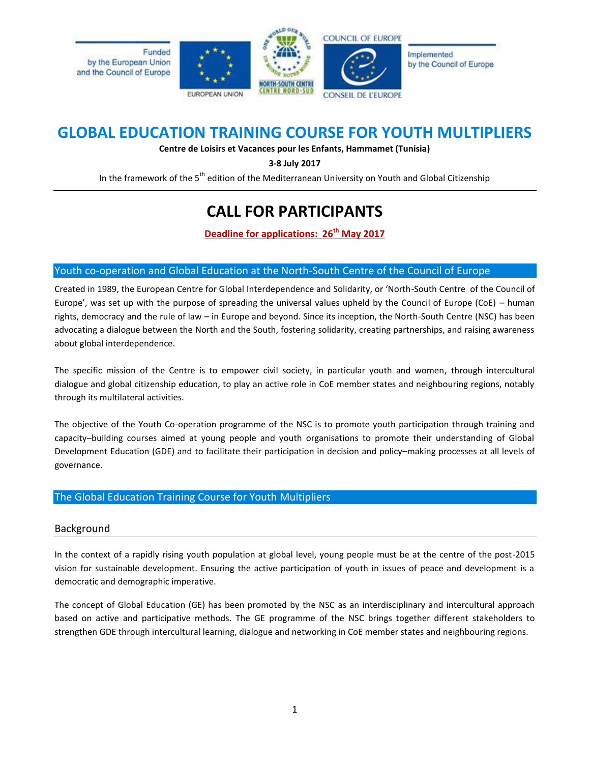

## **GLOBAL EDUCATION TRAINING COURSE FOR YOUTH MULTIPLIERS**

**Centre de Loisirs et Vacances pour les Enfants, Hammamet (Tunisia)**

**3-8 July 2017**

In the framework of the 5<sup>th</sup> edition of the Mediterranean University on Youth and Global Citizenship

# **CALL FOR PARTICIPANTS**

**Deadline for applications: 26 th May 2017**

### Youth co-operation and Global Education at the North-South Centre of the Council of Europe

Created in 1989, the European Centre for Global Interdependence and Solidarity, or 'North-South Centre of the Council of Europe', was set up with the purpose of spreading the universal values upheld by the Council of Europe (CoE) – human rights, democracy and the rule of law – in Europe and beyond. Since its inception, the North-South Centre (NSC) has been advocating a dialogue between the North and the South, fostering solidarity, creating partnerships, and raising awareness about global interdependence.

The specific mission of the Centre is to empower civil society, in particular youth and women, through intercultural dialogue and global citizenship education, to play an active role in CoE member states and neighbouring regions, notably through its multilateral activities.

The objective of the Youth Co-operation programme of the NSC is to promote youth participation through training and capacity–building courses aimed at young people and youth organisations to promote their understanding of Global Development Education (GDE) and to facilitate their participation in decision and policy–making processes at all levels of governance.

### The Global Education Training Course for Youth Multipliers

### Background

In the context of a rapidly rising youth population at global level, young people must be at the centre of the post-2015 vision for sustainable development. Ensuring the active participation of youth in issues of peace and development is a democratic and demographic imperative.

The concept of Global Education (GE) has been promoted by the NSC as an interdisciplinary and intercultural approach based on active and participative methods. The GE programme of the NSC brings together different stakeholders to strengthen GDE through intercultural learning, dialogue and networking in CoE member states and neighbouring regions.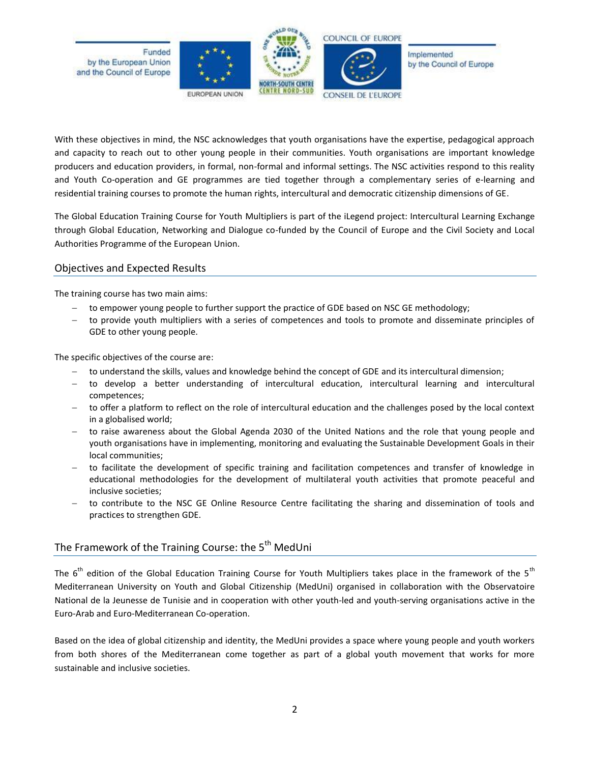

With these objectives in mind, the NSC acknowledges that youth organisations have the expertise, pedagogical approach and capacity to reach out to other young people in their communities. Youth organisations are important knowledge producers and education providers, in formal, non-formal and informal settings. The NSC activities respond to this reality and Youth Co-operation and GE programmes are tied together through a complementary series of e-learning and residential training courses to promote the human rights, intercultural and democratic citizenship dimensions of GE.

The Global Education Training Course for Youth Multipliers is part of the iLegend project: Intercultural Learning Exchange through Global Education, Networking and Dialogue co-funded by the Council of Europe and the Civil Society and Local Authorities Programme of the European Union.

### Objectives and Expected Results

The training course has two main aims:

- to empower young people to further support the practice of GDE based on NSC GE methodology;
- to provide youth multipliers with a series of competences and tools to promote and disseminate principles of GDE to other young people.

The specific objectives of the course are:

- to understand the skills, values and knowledge behind the concept of GDE and its intercultural dimension;
- to develop a better understanding of intercultural education, intercultural learning and intercultural competences;
- to offer a platform to reflect on the role of intercultural education and the challenges posed by the local context in a globalised world;
- to raise awareness about the Global Agenda 2030 of the United Nations and the role that young people and youth organisations have in implementing, monitoring and evaluating the Sustainable Development Goals in their local communities;
- to facilitate the development of specific training and facilitation competences and transfer of knowledge in educational methodologies for the development of multilateral youth activities that promote peaceful and inclusive societies;
- to contribute to the NSC GE Online Resource Centre facilitating the sharing and dissemination of tools and practices to strengthen GDE.

### The Framework of the Training Course: the 5<sup>th</sup> MedUni

The 6<sup>th</sup> edition of the Global Education Training Course for Youth Multipliers takes place in the framework of the 5<sup>th</sup> Mediterranean University on Youth and Global Citizenship (MedUni) organised in collaboration with the Observatoire National de la Jeunesse de Tunisie and in cooperation with other youth-led and youth-serving organisations active in the Euro-Arab and Euro-Mediterranean Co-operation.

Based on the idea of global citizenship and identity, the MedUni provides a space where young people and youth workers from both shores of the Mediterranean come together as part of a global youth movement that works for more sustainable and inclusive societies.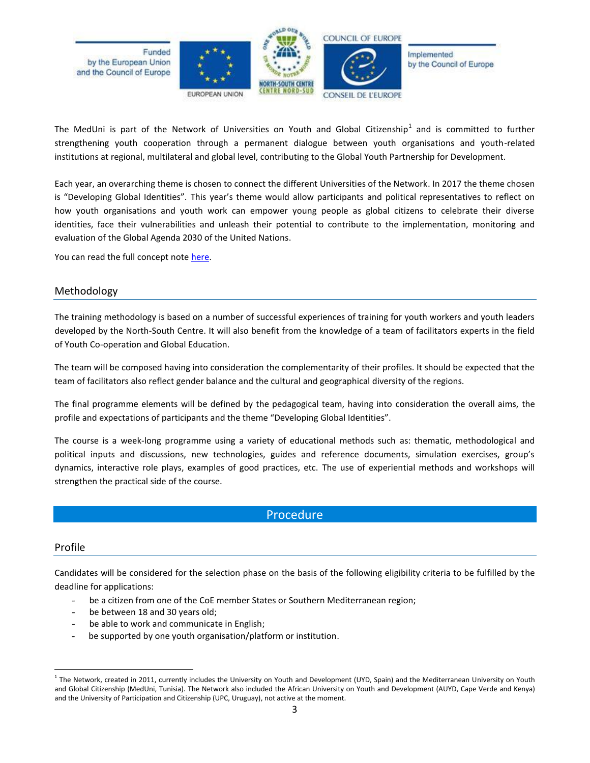

The MedUni is part of the Network of Universities on Youth and Global Citizenship<sup>1</sup> and is committed to further strengthening youth cooperation through a permanent dialogue between youth organisations and youth-related institutions at regional, multilateral and global level, contributing to the Global Youth Partnership for Development.

Each year, an overarching theme is chosen to connect the different Universities of the Network. In 2017 the theme chosen is "Developing Global Identities". This year's theme would allow participants and political representatives to reflect on how youth organisations and youth work can empower young people as global citizens to celebrate their diverse identities, face their vulnerabilities and unleash their potential to contribute to the implementation, monitoring and evaluation of the Global Agenda 2030 of the United Nations.

You can read the full concept not[e here.](http://www.coe.int/t/dg4/nscentre/News/2017/NSC-YC-CN_Developing%20Global%20Identities_EN.pdf)

### Methodology

The training methodology is based on a number of successful experiences of training for youth workers and youth leaders developed by the North-South Centre. It will also benefit from the knowledge of a team of facilitators experts in the field of Youth Co-operation and Global Education.

The team will be composed having into consideration the complementarity of their profiles. It should be expected that the team of facilitators also reflect gender balance and the cultural and geographical diversity of the regions.

The final programme elements will be defined by the pedagogical team, having into consideration the overall aims, the profile and expectations of participants and the theme "Developing Global Identities".

The course is a week-long programme using a variety of educational methods such as: thematic, methodological and political inputs and discussions, new technologies, guides and reference documents, simulation exercises, group's dynamics, interactive role plays, examples of good practices, etc. The use of experiential methods and workshops will strengthen the practical side of the course.

### Procedure

#### Profile

 $\overline{a}$ 

Candidates will be considered for the selection phase on the basis of the following eligibility criteria to be fulfilled by the deadline for applications:

- be a citizen from one of the CoE member States or Southern Mediterranean region;
- be between 18 and 30 years old;
- be able to work and communicate in English;
- be supported by one youth organisation/platform or institution.

<sup>&</sup>lt;sup>1</sup> The Network, created in 2011, currently includes the University on Youth and Development (UYD, Spain) and the Mediterranean University on Youth and Global Citizenship (MedUni, Tunisia). The Network also included the African University on Youth and Development (AUYD, Cape Verde and Kenya) and the University of Participation and Citizenship (UPC, Uruguay), not active at the moment.